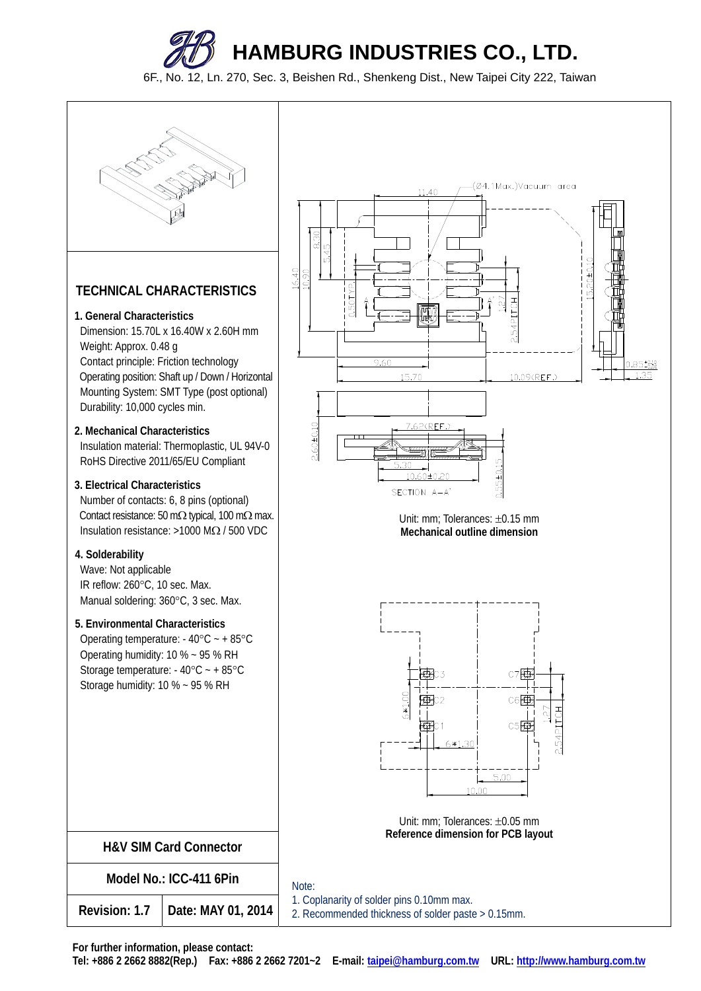6F., No. 12, Ln. 270, Sec. 3, Beishen Rd., Shenkeng Dist., New Taipei City 222, Taiwan



## **TECHNICAL CHARACTERISTICS**

#### **1. General Characteristics**

Dimension: 15.70L x 16.40W x 2.60H mm Weight: Approx. 0.48 g Contact principle: Friction technology Operating position: Shaft up / Down / Horizontal Mounting System: SMT Type (post optional) Durability: 10,000 cycles min.

## **2. Mechanical Characteristics** Insulation material: Thermoplastic, UL 94V-0 RoHS Directive 2011/65/EU Compliant

## **3. Electrical Characteristics**

Number of contacts: 6, 8 pins (optional) Contact resistance: 50 m $\Omega$  typical, 100 m $\Omega$  max. Insulation resistance:  $>1000$  MQ / 500 VDC

## **4. Solderability**

Wave: Not applicable IR reflow: 260°C, 10 sec. Max. Manual soldering: 360°C, 3 sec. Max.

## **5. Environmental Characteristics**

Operating temperature:  $-40^{\circ}$ C  $- +85^{\circ}$ C Operating humidity: 10 % ~ 95 % RH Storage temperature:  $-40^{\circ}$ C  $- +85^{\circ}$ C Storage humidity: 10 % ~ 95 % RH

| $\frac{8.30}{45}$<br>เก๋<br>16.40<br>10.90 | (Ø4.1Max.)Vacuum area<br>11.40<br>m<br>15.20±0.10<br>$0.50$ TYP<br>$\oint$ $\vec{q}$<br>EСH<br>A<br>H<br>2.54P)<br>ш |
|--------------------------------------------|----------------------------------------------------------------------------------------------------------------------|
|                                            | 9.60<br>$\frac{0.85^{+0.10}_{-0.00}}{1.35}$<br>10.09(REF.)<br>15.70                                                  |
| $2,60 + 0.10$                              | 7.62(REF.)<br>┯<br>0.55±0.15<br>5.30<br>10.60±0.20<br>SECTION A-A'                                                   |

Unit: mm; Tolerances: ±0.15 mm **Mechanical outline dimension** 



Unit:  $mm:$  Tolerances:  $\pm 0.05$  mm **Reference dimension for PCB layout** 

**H&V SIM Card Connector** 

**Model No.: ICC-411 6Pin** 

**Revision: 1.7 Date: MAY 01, 2014** 

 1. Coplanarity of solder pins 0.10mm max. 2. Recommended thickness of solder paste > 0.15mm.

**For further information, please contact:** 

**Tel: +886 2 2662 8882(Rep.) Fax: +886 2 2662 7201~2 E-mail: taipei@hamburg.com.tw URL: http://www.hamburg.com.tw**

Note: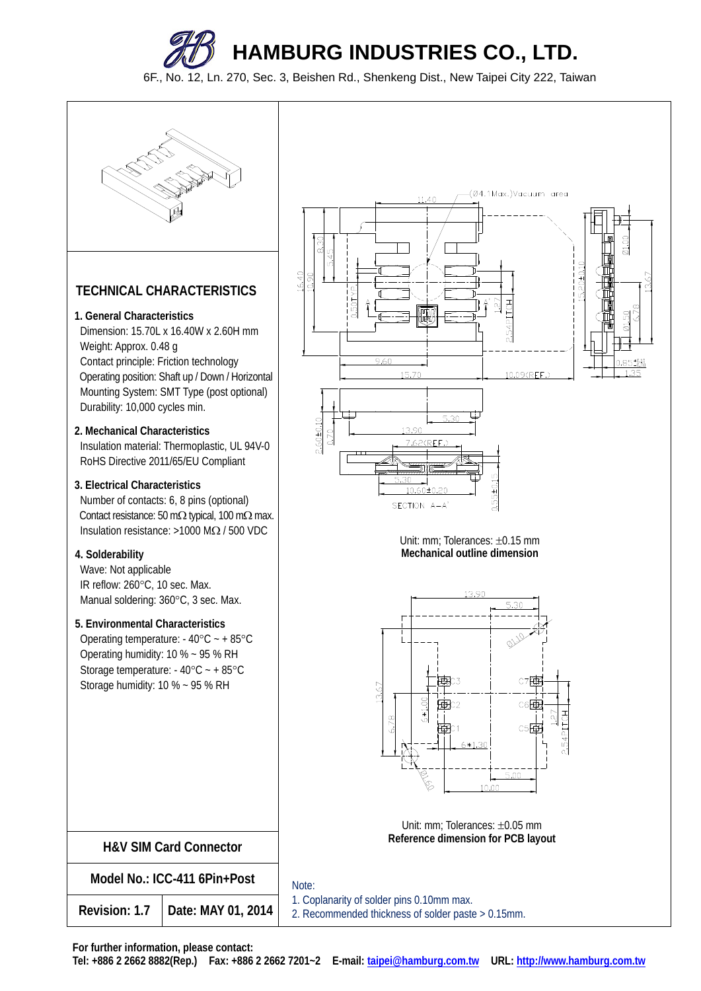6F., No. 12, Ln. 270, Sec. 3, Beishen Rd., Shenkeng Dist., New Taipei City 222, Taiwan



## **TECHNICAL CHARACTERISTICS**

## **1. General Characteristics**

Dimension: 15.70L x 16.40W x 2.60H mm Weight: Approx. 0.48 g Contact principle: Friction technology Operating position: Shaft up / Down / Horizontal Mounting System: SMT Type (post optional) Durability: 10,000 cycles min.

## **2. Mechanical Characteristics** Insulation material: Thermoplastic, UL 94V-0 RoHS Directive 2011/65/EU Compliant

## **3. Electrical Characteristics**

Number of contacts: 6, 8 pins (optional) Contact resistance: 50 m $\Omega$  typical, 100 m $\Omega$  max. Insulation resistance:  $>1000$  MQ / 500 VDC

## **4. Solderability**

Wave: Not applicable IR reflow: 260°C, 10 sec. Max. Manual soldering: 360°C, 3 sec. Max.

## **5. Environmental Characteristics**

Operating temperature:  $-40^{\circ}$ C  $- +85^{\circ}$ C Operating humidity: 10 % ~ 95 % RH Storage temperature:  $-40^{\circ}$ C  $- +85^{\circ}$ C Storage humidity: 10 % ~ 95 % RH

| <b>H&amp;V SIM Card Connector</b> |                    |  |  |
|-----------------------------------|--------------------|--|--|
| Model No.: ICC-411 6Pin+Post      |                    |  |  |
| Revision: 1.7                     | Date: MAY 01, 2014 |  |  |



Unit: mm; Tolerances: ±0.15 mm **Mechanical outline dimension** 



Unit: mm; Tolerances: ±0.05 mm **Reference dimension for PCB layout** 

 Note: 1. Coplanarity of solder pins 0.10mm max. 2. Recommended thickness of solder paste > 0.15mm.

**For further information, please contact:** 

**Tel: +886 2 2662 8882(Rep.) Fax: +886 2 2662 7201~2 E-mail: taipei@hamburg.com.tw URL: http://www.hamburg.com.tw**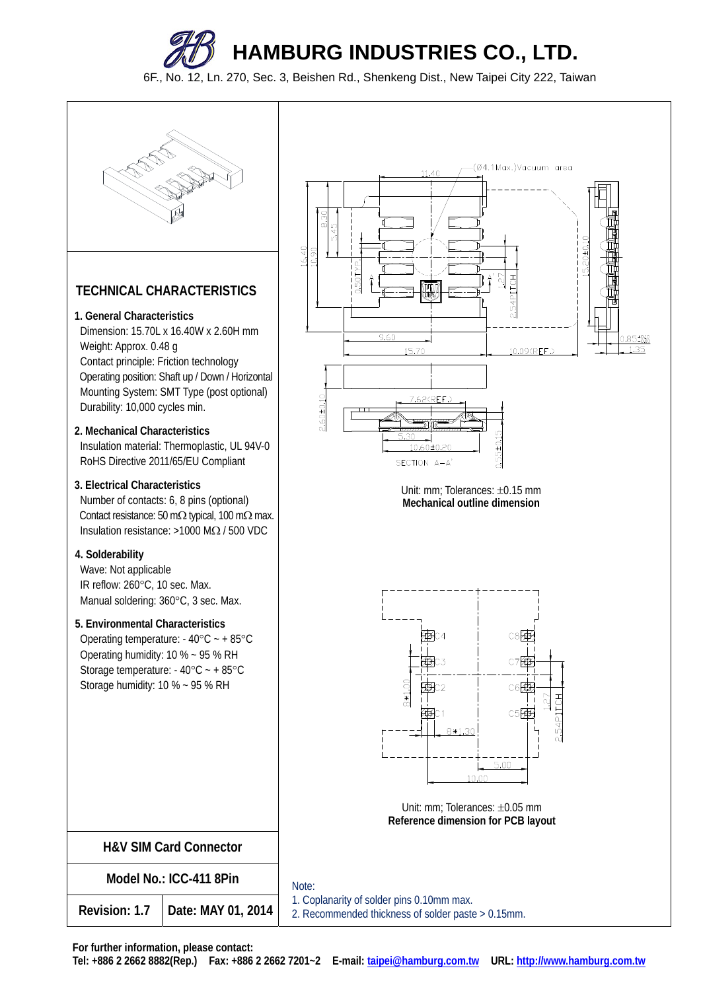6F., No. 12, Ln. 270, Sec. 3, Beishen Rd., Shenkeng Dist., New Taipei City 222, Taiwan



## **TECHNICAL CHARACTERISTICS**

## **1. General Characteristics**

Dimension: 15.70L x 16.40W x 2.60H mm Weight: Approx. 0.48 g Contact principle: Friction technology Operating position: Shaft up / Down / Horizontal Mounting System: SMT Type (post optional) Durability: 10,000 cycles min.

**2. Mechanical Characteristics** Insulation material: Thermoplastic, UL 94V-0 RoHS Directive 2011/65/EU Compliant

## **3. Electrical Characteristics**

Number of contacts: 6, 8 pins (optional) Contact resistance: 50 m $\Omega$  typical, 100 m $\Omega$  max. Insulation resistance:  $>1000$  M $\Omega$  / 500 VDC

## **4. Solderability**

Wave: Not applicable IR reflow: 260°C, 10 sec. Max. Manual soldering: 360°C, 3 sec. Max.

## **5. Environmental Characteristics**

Operating temperature:  $-40^{\circ}$ C  $- +85^{\circ}$ C Operating humidity: 10 % ~ 95 % RH Storage temperature:  $-40^{\circ}$ C  $- +85^{\circ}$ C Storage humidity: 10 % ~ 95 % RH

| <b>H&amp;V SIM Card Connector</b> |                    |  |  |
|-----------------------------------|--------------------|--|--|
| Model No.: ICC-411 8Pin           |                    |  |  |
| Revision: 1.7                     | Date: MAY 01, 2014 |  |  |



Unit: mm: Tolerances:  $\pm 0.15$  mm **Mechanical outline dimension** 



Unit: mm; Tolerances: ±0.05 mm **Reference dimension for PCB layout** 

Note:

 1. Coplanarity of solder pins 0.10mm max. 2. Recommended thickness of solder paste > 0.15mm.

**For further information, please contact:** 

**Tel: +886 2 2662 8882(Rep.) Fax: +886 2 2662 7201~2 E-mail: taipei@hamburg.com.tw URL: http://www.hamburg.com.tw**